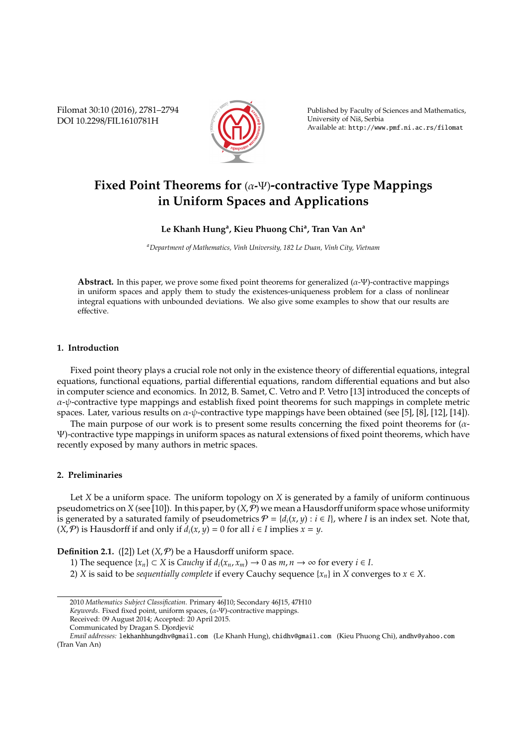Filomat 30:10 (2016), 2781–2794 DOI 10.2298/FIL1610781H



Published by Faculty of Sciences and Mathematics, University of Nis, Serbia ˇ Available at: http://www.pmf.ni.ac.rs/filomat

# **Fixed Point Theorems for** (α**-**Ψ)**-contractive Type Mappings in Uniform Spaces and Applications**

## **Le Khanh Hung<sup>a</sup> , Kieu Phuong Chi<sup>a</sup> , Tran Van An<sup>a</sup>**

*<sup>a</sup>Department of Mathematics, Vinh University, 182 Le Duan, Vinh City, Vietnam*

**Abstract.** In this paper, we prove some fixed point theorems for generalized  $(\alpha-\Psi)$ -contractive mappings in uniform spaces and apply them to study the existences-uniqueness problem for a class of nonlinear integral equations with unbounded deviations. We also give some examples to show that our results are effective.

### **1. Introduction**

Fixed point theory plays a crucial role not only in the existence theory of differential equations, integral equations, functional equations, partial differential equations, random differential equations and but also in computer science and economics. In 2012, B. Samet, C. Vetro and P. Vetro [13] introduced the concepts of  $\alpha$ - $\psi$ -contractive type mappings and establish fixed point theorems for such mappings in complete metric spaces. Later, various results on α-ψ-contractive type mappings have been obtained (see [5], [8], [12], [14]).

The main purpose of our work is to present some results concerning the fixed point theorems for  $(\alpha$ -Ψ)-contractive type mappings in uniform spaces as natural extensions of fixed point theorems, which have recently exposed by many authors in metric spaces.

## **2. Preliminaries**

Let *X* be a uniform space. The uniform topology on *X* is generated by a family of uniform continuous pseudometrics on *X* (see [10]). In this paper, by  $(X, P)$  we mean a Hausdorff uniform space whose uniformity is generated by a saturated family of pseudometrics  $P = \{d_i(x, y) : i \in I\}$ , where *I* is an index set. Note that,  $(X, \mathcal{P})$  is Hausdorff if and only if  $d_i(x, y) = 0$  for all  $i \in I$  implies  $x = y$ .

**Definition 2.1.** ([2]) Let  $(X, P)$  be a Hausdorff uniform space.

- 1) The sequence  $\{x_n\}$  ⊂ *X* is *Cauchy* if  $d_i(x_n, x_m)$  → 0 as  $m, n \to \infty$  for every  $i \in I$ .
- 2) *X* is said to be *sequentially complete* if every Cauchy sequence  $\{x_n\}$  in *X* converges to  $x \in X$ .

<sup>2010</sup> *Mathematics Subject Classification*. Primary 46J10; Secondary 46J15, 47H10

*Keywords*. Fixed fixed point, uniform spaces, (α-Ψ)-contractive mappings.

Received: 09 August 2014; Accepted: 20 April 2015.

Communicated by Dragan S. Djordjevic´

*Email addresses:* lekhanhhungdhv@gmail.com (Le Khanh Hung), chidhv@gmail.com (Kieu Phuong Chi), andhv@yahoo.com (Tran Van An)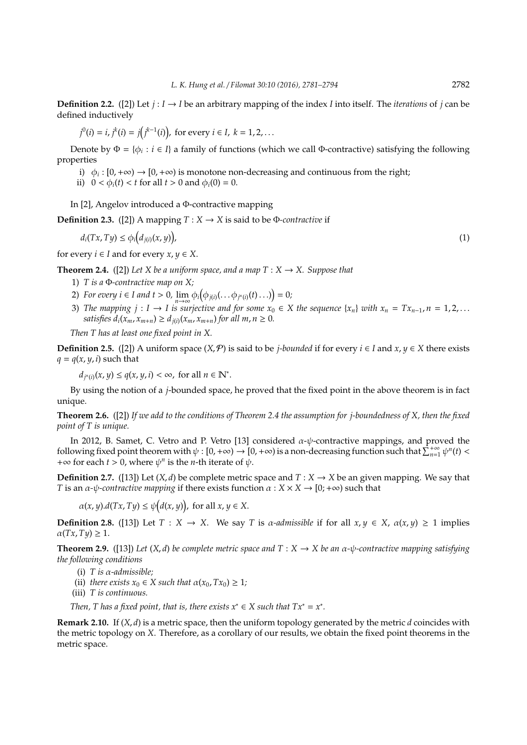**Definition 2.2.** ([2]) Let  $j: I \rightarrow I$  be an arbitrary mapping of the index *I* into itself. The *iterations* of  $j$  can be defined inductively

$$
j^0(i) = i, j^k(i) = j(j^{k-1}(i)),
$$
 for every  $i \in I, k = 1, 2, ...$ 

Denote by  $\Phi = \{\phi_i : i \in I\}$  a family of functions (which we call  $\Phi$ -contractive) satisfying the following properties

- i)  $\phi_i : [0, +\infty) \to [0, +\infty)$  is monotone non-decreasing and continuous from the right;
- ii)  $0 < \phi_i(t) < t$  for all  $t > 0$  and  $\phi_i(0) = 0$ .

In [2], Angelov introduced a Φ-contractive mapping

**Definition 2.3.** ([2]) A mapping  $T : X \rightarrow X$  is said to be  $\Phi$ -contractive if

$$
d_i(Tx, Ty) \le \phi_i\big(d_{j(i)}(x, y)\big),\tag{1}
$$

for every *i*  $\in$  *I* and for every *x*, *y*  $\in$  *X*.

**Theorem 2.4.** ([2]) Let *X* be a uniform space, and a map  $T : X \rightarrow X$ . Suppose that

- 1) *T is a* Φ*-contractive map on X;*
- 2) *For every i*  $\in I$  *and*  $t > 0$ ,  $\lim_{n \to \infty} \phi_i(\phi_{j(i)}(\ldots \phi_{j^n(i)}(t) \ldots)) = 0$ ;
- 3) The mapping  $j: I \to I$  is surjective and for some  $x_0 \in X$  the sequence  $\{x_n\}$  with  $x_n = Tx_{n-1}, n = 1, 2, \ldots$ *satisfies*  $d_i(x_m, x_{m+n}) \geq d_{i(i)}(x_m, x_{m+n})$  *for all m, n*  $\geq 0$ *.*

*Then T has at least one fixed point in X.*

**Definition 2.5.** ([2]) A uniform space  $(X, P)$  is said to be *j-bounded* if for every  $i \in I$  and  $x, y \in X$  there exists  $q = q(x, y, i)$  such that

 $d_{j^n(i)}(x, y) \le q(x, y, i) < \infty$ , for all  $n \in \mathbb{N}^*$ .

By using the notion of a *j*-bounded space, he proved that the fixed point in the above theorem is in fact unique.

**Theorem 2.6.** ([2]) *If we add to the conditions of Theorem 2.4 the assumption for j-boundedness of X, then the fixed point of T is unique.*

In 2012, B. Samet, C. Vetro and P. Vetro [13] considered  $\alpha$ - $\psi$ -contractive mappings, and proved the following fixed point theorem with  $\psi : [0, +\infty) \to [0, +\infty)$  is a non-decreasing function such that  $\sum_{n=1}^{+\infty} \psi^n(t)$ +∞ for each *t* > 0, where  $ψ<sup>n</sup>$  is the *n*-th iterate of  $ψ$ .

**Definition 2.7.** ([13]) Let  $(X, d)$  be complete metric space and  $T : X \to X$  be an given mapping. We say that *T* is an  $\alpha$ -ψ-contractive mapping if there exists function  $\alpha$  :  $X \times X \rightarrow [0, +\infty)$  such that

 $\alpha(x, y)$ . $d(Tx, Ty) \leq \psi(d(x, y))$ , for all  $x, y \in X$ .

**Definition 2.8.** ([13]) Let  $T : X \to X$ . We say *T* is *α*-admissible if for all  $x, y \in X$ ,  $\alpha(x, y) \ge 1$  implies  $\alpha(Tx, Ty) \geq 1.$ 

**Theorem 2.9.** ([13]) Let  $(X, d)$  be complete metric space and  $T : X \to X$  be an  $\alpha$ - $\psi$ -contractive mapping satisfying *the following conditions*

- (i) *T is* α*-admissible;*
- (ii) *there exists*  $x_0 \in X$  *such that*  $\alpha(x_0, Tx_0) \geq 1$ *;*
- (iii) *T is continuous.*

*Then, T has a fixed point, that is, there exists*  $x^* \in X$  *such that*  $Tx^* = x^*$ *.* 

**Remark 2.10.** If (*X*, *d*) is a metric space, then the uniform topology generated by the metric *d* coincides with the metric topology on *X*. Therefore, as a corollary of our results, we obtain the fixed point theorems in the metric space.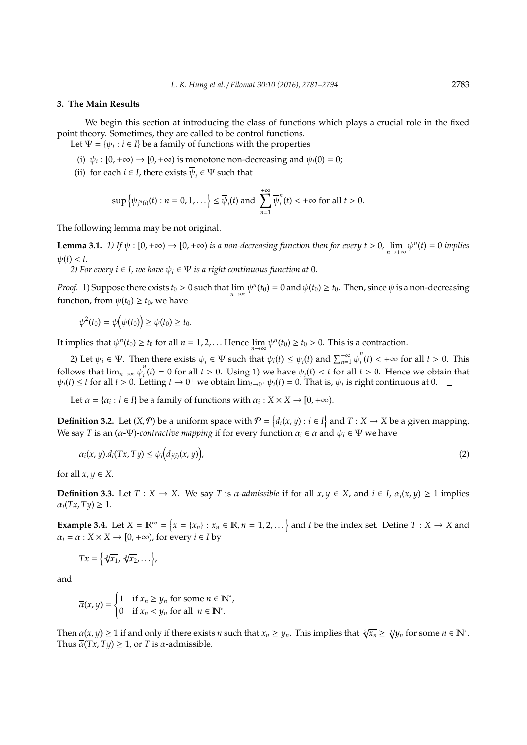#### **3. The Main Results**

We begin this section at introducing the class of functions which plays a crucial role in the fixed point theory. Sometimes, they are called to be control functions.

Let  $\Psi = {\psi_i : i \in I}$  be a family of functions with the properties

- (i)  $\psi_i : [0, +\infty) \to [0, +\infty)$  is monotone non-decreasing and  $\psi_i(0) = 0$ ;
- (ii) for each *i*  $\in$  *I*, there exists  $\overline{\psi}_i \in \Psi$  such that

$$
\sup\left\{\psi_{j^n(i)}(t):n=0,1,\ldots\right\}\leq\overline{\psi}_i(t)\text{ and }\sum_{n=1}^{+\infty}\overline{\psi}_i^n(t)<+\infty\text{ for all }t>0.
$$

The following lemma may be not original.

**Lemma 3.1.** *1)* If  $\psi$  :  $[0, +\infty) \to [0, +\infty)$  is a non-decreasing function then for every  $t > 0$ ,  $\lim_{n \to +\infty} \psi^n(t) = 0$  implies  $\psi(t) < t$ .

*2) For every i*  $\in$  *I, we have*  $\psi_i \in \Psi$  *is a right continuous function at* 0*.* 

*Proof.* 1) Suppose there exists  $t_0 > 0$  such that  $\lim_{n \to \infty} \psi^n(t_0) = 0$  and  $\psi(t_0) \ge t_0$ . Then, since  $\psi$  is a non-decreasing function, from  $\psi(t_0) \geq t_0$ , we have

$$
\psi^{2}(t_{0}) = \psi(\psi(t_{0})) \ge \psi(t_{0}) \ge t_{0}.
$$

It implies that  $\psi^n(t_0) \ge t_0$  for all  $n = 1, 2, ...$  Hence  $\lim_{n \to \infty} \psi^n(t_0) \ge t_0 > 0$ . This is a contraction.

2) Let  $\psi_i \in \Psi$ . Then there exists  $\overline{\psi}_i \in \Psi$  such that  $\psi_i(t) \leq \overline{\psi}_i(t)$  and  $\sum_{n=1}^{+\infty} \overline{\psi}_i^n$ *<sup><i>n</sup>*</sup>(*t*) < +∞ for all *t* > 0. This follows that  $\lim_{n\to\infty}\overline{\psi}_i^n$ *i*<sub>*i*</sub>(*t*) = 0 for all *t* > 0. Using 1) we have  $\psi_i(t) < t$  for all *t* > 0. Hence we obtain that  $\psi_i(t) \leq t$  for all  $t > 0$ . Letting  $t \to 0^+$  we obtain  $\lim_{t \to 0^+} \psi_i(t) = 0$ . That is,  $\psi_i$  is right continuous at 0.

Let  $\alpha = {\alpha_i : i \in I}$  be a family of functions with  $\alpha_i : X \times X \rightarrow [0, +\infty)$ .

**Definition 3.2.** Let  $(X, \mathcal{P})$  be a uniform space with  $\mathcal{P} = \{d_i(x, y) : i \in I\}$  and  $T : X \to X$  be a given mapping. We say *T* is an ( $\alpha$ -Ψ)-contractive mapping if for every function  $\alpha_i \in \alpha$  and  $\psi_i \in \Psi$  we have

$$
\alpha_i(x, y).d_i(Tx, Ty) \le \psi_i\big(d_{j(i)}(x, y)\big),\tag{2}
$$

for all  $x, y \in X$ .

**Definition 3.3.** Let  $T : X \to X$ . We say  $T$  is  $\alpha$ -admissible if for all  $x, y \in X$ , and  $i \in I$ ,  $\alpha_i(x, y) \ge 1$  implies  $\alpha_i(Tx, Ty) \geq 1.$ 

**Example 3.4.** Let  $X = \mathbb{R}^{\infty} = \{x = \{x_n\} : x_n \in \mathbb{R}, n = 1, 2, ...\}$  and *I* be the index set. Define  $T : X \to X$  and  $\alpha_i = \overline{\alpha}$ :  $X \times X \rightarrow [0, +\infty)$ , for every  $i \in I$  by

$$
Tx = \left\{ \sqrt[3]{x_1}, \sqrt[3]{x_2}, \ldots \right\},\
$$

and

$$
\overline{\alpha}(x, y) = \begin{cases} 1 & \text{if } x_n \ge y_n \text{ for some } n \in \mathbb{N}^*, \\ 0 & \text{if } x_n < y_n \text{ for all } n \in \mathbb{N}^*. \end{cases}
$$

Then  $\overline{\alpha}(x, y) \ge 1$  if and only if there exists *n* such that  $x_n \ge y_n$ . This implies that  $\sqrt[3]{x_n} \ge \sqrt[3]{y_n}$  for some  $n \in \mathbb{N}^*$ . Thus  $\overline{\alpha}(Tx, Ty) \geq 1$ , or *T* is *α*-admissible.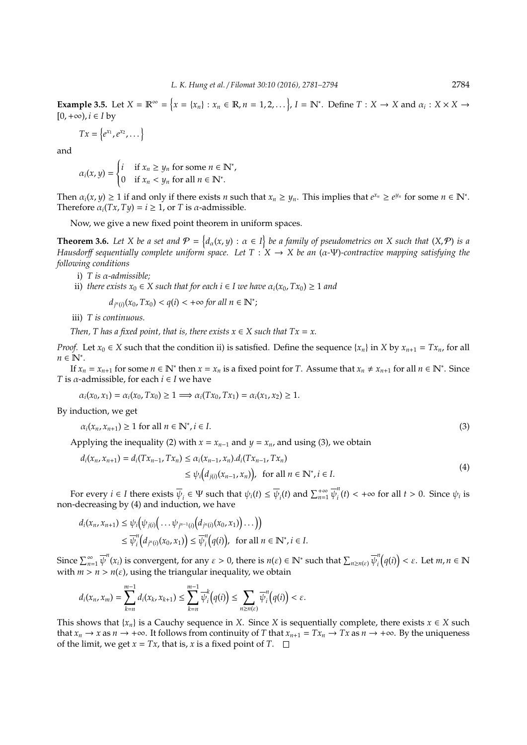**Example 3.5.** Let  $X = \mathbb{R}^{\infty} = \{x = \{x_n\} : x_n \in \mathbb{R}, n = 1, 2, ...\}$ ,  $I = \mathbb{N}^*$ . Define  $T : X \to X$  and  $\alpha_i : X \times X \to Y$  $[0,+\infty)$ ,  $i \in I$  by

$$
Tx = \left\{e^{x_1}, e^{x_2}, \dots\right\}
$$

and

$$
\alpha_i(x, y) = \begin{cases} i & \text{if } x_n \ge y_n \text{ for some } n \in \mathbb{N}^*, \\ 0 & \text{if } x_n < y_n \text{ for all } n \in \mathbb{N}^*. \end{cases}
$$

Then  $\alpha_i(x, y) \ge 1$  if and only if there exists *n* such that  $x_n \ge y_n$ . This implies that  $e^{x_n} \ge e^{y_n}$  for some  $n \in \mathbb{N}^*$ . Therefore  $\alpha_i(Tx, Ty) = i \geq 1$ , or *T* is *α*-admissible.

Now, we give a new fixed point theorem in uniform spaces.

**Theorem 3.6.** Let X be a set and  $P = \{d_\alpha(x, y) : \alpha \in I\}$  be a family of pseudometrics on X such that  $(X, P)$  is a *Hausdor*ff *sequentially complete uniform space. Let T* : *X* → *X be an* (α*-*Ψ)*-contractive mapping satisfying the following conditions*

- i) *T is* α*-admissible;*
- ii) *there exists*  $x_0 \in X$  *such that for each i*  $\in I$  *we have*  $\alpha_i(x_0, Tx_0) \geq 1$  *and*

$$
d_{j^{n}(i)}(x_0, Tx_0) < q(i) < +\infty \text{ for all } n \in \mathbb{N}^*;
$$

iii) *T is continuous.*

*Then, T has a fixed point, that is, there exists*  $x \in X$  *such that*  $Tx = x$ .

*Proof.* Let  $x_0 \in X$  such that the condition ii) is satisfied. Define the sequence  $\{x_n\}$  in *X* by  $x_{n+1} = Tx_n$ , for all  $n \in \mathbb{N}^*$ .

If  $x_n = x_{n+1}$  for some  $n \in \mathbb{N}^*$  then  $x = x_n$  is a fixed point for *T*. Assume that  $x_n \neq x_{n+1}$  for all  $n \in \mathbb{N}^*$ . Since *T* is  $\alpha$ -admissible, for each  $i \in I$  we have

$$
\alpha_i(x_0,x_1)=\alpha_i(x_0,Tx_0)\geq 1\Longrightarrow \alpha_i(Tx_0,Tx_1)=\alpha_i(x_1,x_2)\geq 1.
$$

By induction, we get

$$
\alpha_i(x_n, x_{n+1}) \ge 1 \text{ for all } n \in \mathbb{N}^*, i \in I.
$$
\n
$$
(3)
$$

Applying the inequality (2) with  $x = x_{n-1}$  and  $y = x_n$ , and using (3), we obtain

$$
d_i(x_n, x_{n+1}) = d_i(Tx_{n-1}, Tx_n) \le \alpha_i(x_{n-1}, x_n) . d_i(Tx_{n-1}, Tx_n)
$$
  
 
$$
\le \psi_i(d_{j(i)}(x_{n-1}, x_n)), \text{ for all } n \in \mathbb{N}^*, i \in I.
$$
 (4)

For every  $i \in I$  there exists  $\overline{\psi}_i \in \Psi$  such that  $\psi_i(t) \leq \overline{\psi}_i(t)$  and  $\sum_{n=1}^{+\infty} \overline{\psi}_i^n$  $\psi_i^n(t) < +\infty$  for all  $t > 0$ . Since  $\psi_i$  is non-decreasing by (4) and induction, we have

$$
d_i(x_n, x_{n+1}) \leq \psi_i(\psi_{j(i)}(\dots \psi_{j^{n-1}(i)}(d_{j^n(i)}(x_0, x_1))\dots))
$$
  
 
$$
\leq \overline{\psi}_i^n(d_{j^n(i)}(x_0, x_1)) \leq \overline{\psi}_i^n(q(i)), \text{ for all } n \in \mathbb{N}^*, i \in I.
$$

Since  $\sum_{n=1}^{\infty} \overline{\psi}^n(x_i)$  is convergent, for any  $\varepsilon > 0$ , there is  $n(\varepsilon) \in \mathbb{N}^*$  such that  $\sum_{n \geq n(\varepsilon)} \overline{\psi}^n_i$  $\theta_i^n\big(q(i)\big) < \varepsilon$ . Let *m*, *n* ∈ N with  $m > n > n(\varepsilon)$ , using the triangular inequality, we obtain

$$
d_i(x_n,x_m)=\sum_{k=n}^{m-1}d_i(x_k,x_{k+1})\leq \sum_{k=n}^{m-1}\overline{\psi}_i^k\big(q(i)\big)\leq \sum_{n\geq n(\varepsilon)}\overline{\psi}_i^n\big(q(i)\big)<\varepsilon.
$$

This shows that  $\{x_n\}$  is a Cauchy sequence in *X*. Since *X* is sequentially complete, there exists  $x \in X$  such that  $x_n \to x$  as  $n \to +\infty$ . It follows from continuity of *T* that  $x_{n+1} = Tx_n \to Tx$  as  $n \to +\infty$ . By the uniqueness of the limit, we get  $x = Tx$ , that is, x is a fixed point of  $T$ .  $\Box$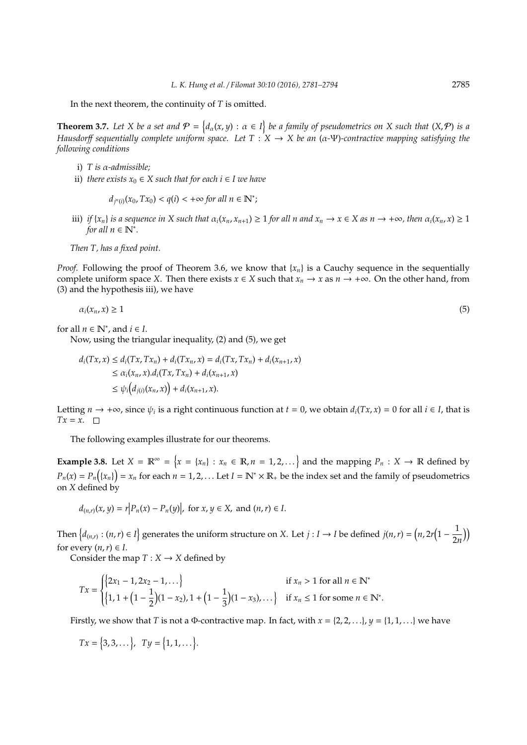In the next theorem, the continuity of *T* is omitted.

**Theorem 3.7.** Let X be a set and  $P = \{d_\alpha(x, y) : \alpha \in I\}$  be a family of pseudometrics on X such that  $(X, P)$  is a *Hausdor*ff *sequentially complete uniform space. Let T* : *X* → *X be an* (α*-*Ψ)*-contractive mapping satisfying the following conditions*

- i) *T is* α*-admissible;*
- ii) *there exists*  $x_0$  ∈ *X such that for each i* ∈ *I we have*

 $d_{j^{n}(i)}(x_0, Tx_0) < q(i) < +\infty$  for all  $n \in \mathbb{N}^*$ ;

iii) if  $\{x_n\}$  is a sequence in X such that  $\alpha_i(x_n, x_{n+1}) \ge 1$  for all n and  $x_n \to x \in X$  as  $n \to +\infty$ , then  $\alpha_i(x_n, x) \ge 1$ *for all*  $n \in \mathbb{N}^*$ .

*Then T, has a fixed point.*

*Proof.* Following the proof of Theorem 3.6, we know that  $\{x_n\}$  is a Cauchy sequence in the sequentially complete uniform space *X*. Then there exists  $x \in X$  such that  $x_n \to x$  as  $n \to +\infty$ . On the other hand, from (3) and the hypothesis iii), we have

$$
\alpha_i(x_n, x) \ge 1 \tag{5}
$$

for all  $n \in \mathbb{N}^*$ , and  $i \in I$ .

Now, using the triangular inequality, (2) and (5), we get

$$
d_i(Tx, x) \le d_i(Tx, Tx_n) + d_i(Tx_n, x) = d_i(Tx, Tx_n) + d_i(x_{n+1}, x)
$$
  
\n
$$
\le \alpha_i(x_n, x).d_i(Tx, Tx_n) + d_i(x_{n+1}, x)
$$
  
\n
$$
\le \psi_i(d_{j(i)}(x_n, x)) + d_i(x_{n+1}, x).
$$

Letting  $n \to +\infty$ , since  $\psi_i$  is a right continuous function at  $t = 0$ , we obtain  $d_i(Tx, x) = 0$  for all  $i \in I$ , that is  $Tx = x$ .  $\Box$ 

The following examples illustrate for our theorems.

**Example 3.8.** Let  $X = \mathbb{R}^{\infty} = \{x = \{x_n\} : x_n \in \mathbb{R}, n = 1, 2, ...\}$  and the mapping  $P_n : X \to \mathbb{R}$  defined by  $P_n(x) = P_n(\lbrace x_n \rbrace) = x_n$  for each  $n = 1, 2, ...$  Let  $I = \mathbb{N}^* \times \mathbb{R}_+$  be the index set and the family of pseudometrics on *X* defined by

$$
d_{(n,r)}(x, y) = r |P_n(x) - P_n(y)|
$$
, for  $x, y \in X$ , and  $(n, r) \in I$ .

Then  $\{d_{(n,r)}: (n,r) \in I\}$  generates the uniform structure on *X*. Let  $j: I \to I$  be defined  $j(n,r) = (n, 2r(1 - \frac{1}{2r}))$ 2*n*  $\mathcal{U}$ for every  $(n, r) \in I$ .

Consider the map  $T : X \rightarrow X$  defined by

$$
Tx = \begin{cases} \{2x_1 - 1, 2x_2 - 1, \dots\} & \text{if } x_n > 1 \text{ for all } n \in \mathbb{N}^* \\ \{1, 1 + \left(1 - \frac{1}{2}\right)(1 - x_2), 1 + \left(1 - \frac{1}{3}\right)(1 - x_3), \dots\} & \text{if } x_n \le 1 \text{ for some } n \in \mathbb{N}^*. \end{cases}
$$

Firstly, we show that *T* is not a  $\Phi$ -contractive map. In fact, with  $x = \{2, 2, \ldots\}$ ,  $y = \{1, 1, \ldots\}$  we have

$$
Tx = \{3, 3, \dots\}, \quad Ty = \{1, 1, \dots\}.
$$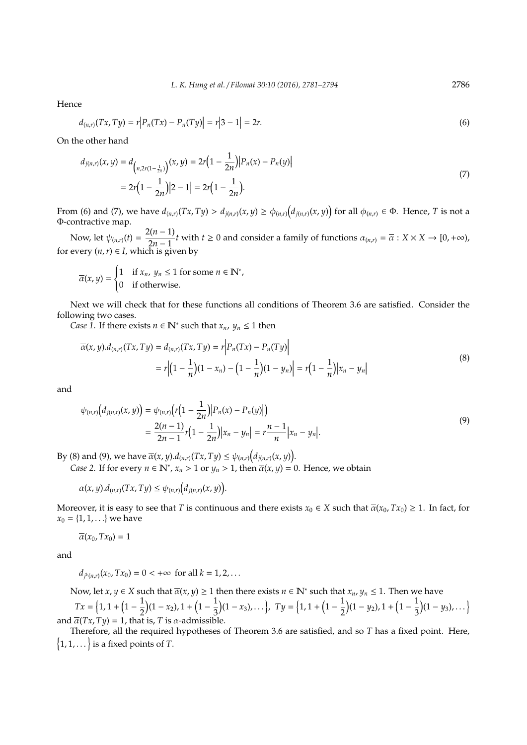Hence

$$
d_{(n,r)}(Tx, Ty) = r|P_n(Tx) - P_n(Ty)| = r|3 - 1| = 2r.
$$
\n(6)

On the other hand

$$
d_{j(n,r)}(x,y) = d_{\left(n,2r(1-\frac{1}{2n})\right)}(x,y) = 2r\left(1-\frac{1}{2n}\right)|P_n(x) - P_n(y)|
$$
  
=  $2r\left(1-\frac{1}{2n}\right)|2-1| = 2r\left(1-\frac{1}{2n}\right).$  (7)

From (6) and (7), we have  $d_{(n,r)}(Tx, Ty) > d_{j(n,r)}(x, y) \ge \phi_{(n,r)}(d_{j(n,r)}(x, y))$  for all  $\phi_{(n,r)} \in \Phi$ . Hence, T is not a Φ-contractive map.

Now, let  $\psi_{(n,r)}(t) = \frac{2(n-1)}{2n-1}$  $\frac{2(n-1)}{2n-1}$  *t* with  $t \ge 0$  and consider a family of functions  $\alpha_{(n,r)} = \overline{\alpha} : X \times X \to [0, +\infty)$ , for every  $(n, r) \in I$ , which is given by

$$
\overline{\alpha}(x, y) = \begin{cases} 1 & \text{if } x_n, y_n \le 1 \text{ for some } n \in \mathbb{N}^*, \\ 0 & \text{if otherwise.} \end{cases}
$$

Next we will check that for these functions all conditions of Theorem 3.6 are satisfied. Consider the following two cases.

*Case 1*. If there exists  $n \in \mathbb{N}^*$  such that  $x_n$ ,  $y_n \leq 1$  then

$$
\overline{\alpha}(x, y).d_{(n,r)}(Tx, Ty) = d_{(n,r)}(Tx, Ty) = r \left| P_n(Tx) - P_n(Ty) \right|
$$
  
=  $r \left| \left(1 - \frac{1}{n}\right)(1 - x_n) - \left(1 - \frac{1}{n}\right)(1 - y_n) \right| = r \left(1 - \frac{1}{n}\right) |x_n - y_n|$  (8)

and

$$
\psi_{(n,r)}(d_{j(n,r)}(x,y)) = \psi_{(n,r)}(r(1-\frac{1}{2n})|P_n(x) - P_n(y)|)
$$
  
= 
$$
\frac{2(n-1)}{2n-1}r(1-\frac{1}{2n})|x_n - y_n| = r\frac{n-1}{n}|x_n - y_n|.
$$
 (9)

By (8) and (9), we have  $\overline{\alpha}(x, y).d_{(n,r)}(Tx, Ty) \leq \psi_{(n,r)}(d_{j(n,r)}(x, y)).$ 

*Case 2.* If for every  $n \in \mathbb{N}^*$ ,  $x_n > 1$  or  $y_n > 1$ , then  $\overline{\alpha}(x, y) = 0$ . Hence, we obtain

 $\overline{\alpha}(x, y).d_{(n,r)}(Tx, Ty) \leq \psi_{(n,r)}(d_{j(n,r)}(x, y)).$ 

Moreover, it is easy to see that *T* is continuous and there exists  $x_0 \in X$  such that  $\overline{\alpha}(x_0, Tx_0) \geq 1$ . In fact, for  $x_0 = \{1, 1, \ldots\}$  we have

 $\overline{\alpha}(x_0, Tx_0) = 1$ 

and

$$
d_{j^k(n,r)}(x_0, Tx_0) = 0 < +\infty \text{ for all } k = 1, 2, ...
$$

Now, let  $x, y \in X$  such that  $\overline{\alpha}(x, y) \ge 1$  then there exists  $n \in \mathbb{N}^*$  such that  $x_n, y_n \le 1$ . Then we have

 $Tx = \left\{1, 1 + \left(1 - \frac{1}{2}\right)\right\}$ 2  $(1 - x_2), 1 + (1 - \frac{1}{2})$ 3  $(1-x_3), \ldots, T_y = \{1, 1 + (1-\frac{1}{2})\}$ 2  $(1 - y_2), 1 + (1 - \frac{1}{2})$ 3  $(1 - y_3), \ldots$ and  $\overline{\alpha}(Tx, Ty) = 1$ , that is, *T* is  $\alpha$ -admissible.

Therefore, all the required hypotheses of Theorem 3.6 are satisfied, and so *T* has a fixed point. Here,  $\{1, 1, \ldots\}$  is a fixed points of *T*.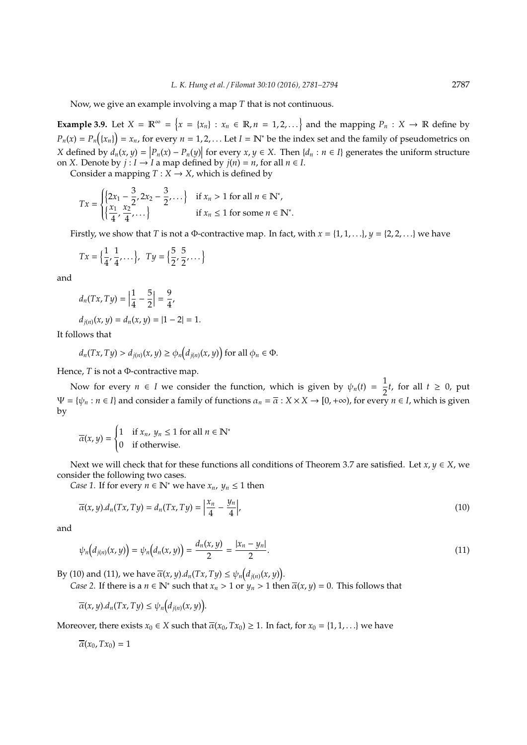Now, we give an example involving a map *T* that is not continuous.

**Example 3.9.** Let  $X = \mathbb{R}^{\infty} = \{x = \{x_n\} : x_n \in \mathbb{R}, n = 1, 2, ...\}$  and the mapping  $P_n : X \to \mathbb{R}$  define by  $P_n(x) = P_n(\lbrace x_n \rbrace) = x_n$ , for every  $n = 1, 2, ...$  Let  $I = \mathbb{N}^*$  be the index set and the family of pseudometrics on X defined by  $d_n(x, y) = |P_n(x) - P_n(y)|$  for every  $x, y \in X$ . Then  $\{d_n : n \in I\}$  generates the uniform structure on *X*. Denote by *j* : *I* → *I* a map defined by *j*(*n*) = *n*, for all *n* ∈ *I*.

Consider a mapping  $T : X \to X$ , which is defined by

$$
Tx = \begin{cases} \left\{2x_1 - \frac{3}{2}, 2x_2 - \frac{3}{2}, \dots\right\} & \text{if } x_n > 1 \text{ for all } n \in \mathbb{N}^*,\\ \left\{\frac{x_1}{4}, \frac{x_2}{4}, \dots\right\} & \text{if } x_n \le 1 \text{ for some } n \in \mathbb{N}^*.\end{cases}
$$

Firstly, we show that *T* is not a  $\Phi$ -contractive map. In fact, with  $x = \{1, 1, \ldots\}$ ,  $y = \{2, 2, \ldots\}$  we have

$$
Tx = \left\{\frac{1}{4}, \frac{1}{4}, \dots\right\}, \quad Ty = \left\{\frac{5}{2}, \frac{5}{2}, \dots\right\}
$$

and

$$
d_n(Tx, Ty) = \left|\frac{1}{4} - \frac{5}{2}\right| = \frac{9}{4},
$$
  

$$
d_{j(n)}(x, y) = d_n(x, y) = |1 - 2| = 1.
$$

It follows that

$$
d_n(Tx, Ty) > d_{j(n)}(x, y) \ge \phi_n\big(d_{j(n)}(x, y)\big) \text{ for all } \phi_n \in \Phi.
$$

Hence, *T* is not a Φ-contractive map.

Now for every  $n \in I$  we consider the function, which is given by  $\psi_n(t) = \frac{1}{2}t$ , for all  $t \ge 0$ , put  $\Psi = {\psi_n : n \in I}$  and consider a family of functions  $\alpha_n = \overline{\alpha} : X \times X \to [0, +\infty)$ , for every  $n \in I$ , which is given by

$$
\overline{\alpha}(x, y) = \begin{cases} 1 & \text{if } x_n, y_n \le 1 \text{ for all } n \in \mathbb{N}^* \\ 0 & \text{if otherwise.} \end{cases}
$$

Next we will check that for these functions all conditions of Theorem 3.7 are satisfied. Let  $x, y \in X$ , we consider the following two cases.

*Case 1*. If for every  $n \in \mathbb{N}^*$  we have  $x_n$ ,  $y_n \leq 1$  then

$$
\overline{\alpha}(x,y).d_n(Tx,Ty) = d_n(Tx,Ty) = \left|\frac{x_n}{4} - \frac{y_n}{4}\right|,
$$
\n(10)

and

$$
\psi_n\big(d_{j(n)}(x,y)\big) = \psi_n\big(d_n(x,y)\big) = \frac{d_n(x,y)}{2} = \frac{|x_n - y_n|}{2}.
$$
\n(11)

By (10) and (11), we have  $\overline{\alpha}(x, y) . d_n(Tx, Ty) \leq \psi_n(d_{j(n)}(x, y)).$ 

*Case 2*. If there is a  $n \in \mathbb{N}^*$  such that  $x_n > 1$  or  $y_n > 1$  then  $\overline{\alpha}(x, y) = 0$ . This follows that

$$
\overline{\alpha}(x,y).d_n(Tx,Ty) \leq \psi_n\big(d_{j(n)}(x,y)\big).
$$

Moreover, there exists  $x_0 \in X$  such that  $\overline{\alpha}(x_0, Tx_0) \ge 1$ . In fact, for  $x_0 = \{1, 1, \ldots\}$  we have

 $\overline{\alpha}(x_0, Tx_0) = 1$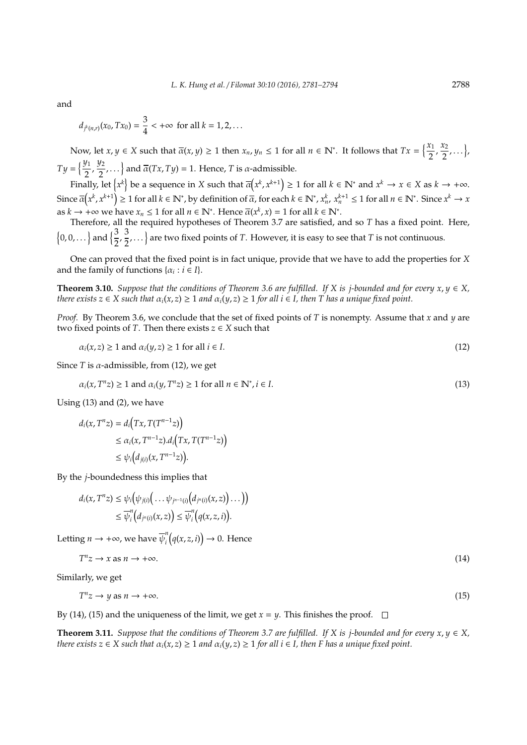and

$$
d_{j^k(n,r)}(x_0,Tx_0) = \frac{3}{4} < +\infty \text{ for all } k = 1,2,\ldots
$$

Now, let  $x, y \in X$  such that  $\overline{\alpha}(x, y) \ge 1$  then  $x_n, y_n \le 1$  for all  $n \in \mathbb{N}^*$ . It follows that  $Tx = \left\{\frac{x_1}{2}, \frac{x_2}{2}, \frac{x_3}{2}\right\}$  $\frac{x_1}{2}, \frac{x_2}{2}$  $\frac{x_2}{2}, \ldots \}$  $Ty = \left\{\frac{y_1}{2}, \frac{y_2}{2}, ...\right\}$  and  $\overline{\alpha}(Tx, Ty) = 1$ . Hence, *T* is *α*-admissible.

Finally, let  $\{x^k\}$  be a sequence in *X* such that  $\overline{\alpha}(x^k, x^{k+1}) \ge 1$  for all  $k \in \mathbb{N}^*$  and  $x^k \to x \in X$  as  $k \to +\infty$ . Since  $\overline{\alpha}(x^k,x^{k+1})\geq 1$  for all  $k\in\mathbb{N}^*$ , by definition of  $\overline{\alpha}$ , for each  $k\in\mathbb{N}^*$ ,  $x_n^k$ ,  $x_n^{k+1}\leq 1$  for all  $n\in\mathbb{N}^*$ . Since  $x^k\to x$ as  $k \to +\infty$  we have  $x_n \leq 1$  for all  $n \in \mathbb{N}^*$ . Hence  $\overline{\alpha}(x^k, x) = 1$  for all  $k \in \mathbb{N}^*$ .

Therefore, all the required hypotheses of Theorem 3.7 are satisfied, and so *T* has a fixed point. Here,  $\{0, 0, ...\}$  and  $\{\frac{3}{2}, \frac{3}{2}\}$  $\left\{\frac{3}{2},\ldots\right\}$  are two fixed points of *T*. However, it is easy to see that *T* is not continuous.

One can proved that the fixed point is in fact unique, provide that we have to add the properties for *X* and the family of functions  $\{\alpha_i : i \in I\}$ .

**Theorem 3.10.** *Suppose that the conditions of Theorem 3.6 are fulfilled. If X is j-bounded and for every*  $x, y \in X$ *, there exists*  $z \in X$  *such that*  $\alpha_i(x, z) \ge 1$  *and*  $\alpha_i(y, z) \ge 1$  *for all*  $i \in I$ *, then*  $T$  *has a unique fixed point.* 

*Proof.* By Theorem 3.6, we conclude that the set of fixed points of *T* is nonempty. Assume that *x* and *y* are two fixed points of *T*. Then there exists  $z \in X$  such that

$$
\alpha_i(x, z) \ge 1 \text{ and } \alpha_i(y, z) \ge 1 \text{ for all } i \in I.
$$
\n
$$
(12)
$$

Since *T* is  $\alpha$ -admissible, from (12), we get

$$
\alpha_i(x, T^{n}z) \ge 1 \text{ and } \alpha_i(y, T^{n}z) \ge 1 \text{ for all } n \in \mathbb{N}^*, i \in I.
$$
\n
$$
(13)
$$

Using (13) and (2), we have

$$
d_i(x, T^n z) = d_i\big(Tx, T(T^{n-1}z)\big)
$$
  
\n
$$
\leq \alpha_i(x, T^{n-1}z) . d_i\big(Tx, T(T^{n-1}z)\big)
$$
  
\n
$$
\leq \psi_i\big(d_{j(i)}(x, T^{n-1}z)\big).
$$

By the *j*-boundedness this implies that

$$
d_i(x, T^n z) \leq \psi_i(\psi_{j(i)}(\dots \psi_{j^{n-1}(i)}(d_{j^n(i)}(x, z))\dots ))
$$
  

$$
\leq \overline{\psi}_i^n(d_{j^n(i)}(x, z)) \leq \overline{\psi}_i^n(q(x, z, i)).
$$

Letting  $n \to +\infty$ , we have  $\overline{\psi}_i^n$  $\int_{i}^{n} (q(x, z, i)) \rightarrow 0$ . Hence

$$
T^n z \to x \text{ as } n \to +\infty. \tag{14}
$$

Similarly, we get

$$
T^n z \to y \text{ as } n \to +\infty. \tag{15}
$$

By (14), (15) and the uniqueness of the limit, we get  $x = y$ . This finishes the proof.  $\Box$ 

Í

**Theorem 3.11.** *Suppose that the conditions of Theorem 3.7 are fulfilled. If X is j-bounded and for every*  $x, y \in X$ *, there exists*  $z \in X$  *such that*  $\alpha_i(x, z) \ge 1$  *and*  $\alpha_i(y, z) \ge 1$  *for all*  $i \in I$ *, then F* has a unique fixed point.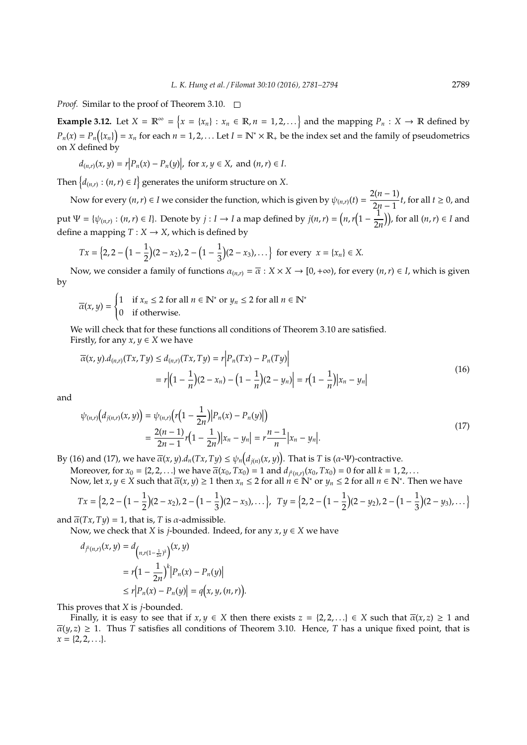*Proof.* Similar to the proof of Theorem 3.10.  $\Box$ 

**Example 3.12.** Let  $X = \mathbb{R}^{\infty} = \{x = \{x_n\} : x_n \in \mathbb{R}, n = 1, 2, ...\}$  and the mapping  $P_n : X \to \mathbb{R}$  defined by  $P_n(x) = P_n(\lbrace x_n \rbrace) = x_n$  for each  $n = 1, 2, ...$  Let  $I = \mathbb{N}^* \times \mathbb{R}_+$  be the index set and the family of pseudometrics on *X* defined by

$$
d_{(n,r)}(x, y) = r |P_n(x) - P_n(y)|
$$
, for  $x, y \in X$ , and  $(n, r) \in I$ .

Then  $\{d_{(n,r)}: (n,r) \in I\}$  generates the uniform structure on *X*.

Now for every  $(n, r) \in I$  we consider the function, which is given by  $\psi_{(n,r)}(t) = \frac{2(n-1)}{2n-1}$  $\frac{2(n-1)}{2n-1}$ *t*, for all *t* ≥ 0, and put  $\Psi = {\psi_{(n,r)} : (n,r) \in I}.$  Denote by  $j: I \to I$  a map defined by  $j(n,r) = (n, r(1 - \frac{1}{2r}))$  $\left(\frac{1}{2n}\right)$ , for all  $(n, r) \in I$  and define a mapping  $T : X \rightarrow X$ , which is defined by

$$
Tx = \left\{2, 2 - \left(1 - \frac{1}{2}\right)(2 - x_2), 2 - \left(1 - \frac{1}{3}\right)(2 - x_3), \ldots\right\}
$$
 for every  $x = \{x_n\} \in X$ .

Now, we consider a family of functions  $\alpha_{(n,r)} = \overline{\alpha} : X \times X \to [0, +\infty)$ , for every  $(n, r) \in I$ , which is given by

$$
\overline{\alpha}(x, y) = \begin{cases} 1 & \text{if } x_n \le 2 \text{ for all } n \in \mathbb{N}^* \text{ or } y_n \le 2 \text{ for all } n \in \mathbb{N}^* \\ 0 & \text{if otherwise.} \end{cases}
$$

We will check that for these functions all conditions of Theorem 3.10 are satisfied. Firstly, for any  $x, y \in X$  we have

$$
\overline{\alpha}(x, y).d_{(n,r)}(Tx, Ty) \le d_{(n,r)}(Tx, Ty) = r \left| P_n(Tx) - P_n(Ty) \right|
$$
  
=  $r \left| \left(1 - \frac{1}{n}\right)(2 - x_n) - \left(1 - \frac{1}{n}\right)(2 - y_n) \right| = r \left(1 - \frac{1}{n}\right) |x_n - y_n|$  (16)

and

$$
\psi_{(n,r)}(d_{j(n,r)}(x,y)) = \psi_{(n,r)}(r(1-\frac{1}{2n})|P_n(x) - P_n(y)|)
$$
  
= 
$$
\frac{2(n-1)}{2n-1}r(1-\frac{1}{2n})|x_n - y_n| = r\frac{n-1}{n}|x_n - y_n|.
$$
 (17)

By (16) and (17), we have  $\overline{\alpha}(x, y)$ . $d_n(Tx, Ty) \leq \psi_n(d_{i(n)}(x, y))$ . That is *T* is (α-Ψ)-contractive.

Moreover, for  $x_0 = \{2, 2, ...\}$  we have  $\overline{\alpha}(x_0, Tx_0) = 1$  and  $d_{\overline{f}^k(n,r)}(x_0, Tx_0) = 0$  for all  $k = 1, 2, ...$ 

Now, let  $x, y \in X$  such that  $\overline{\alpha}(x, y) \ge 1$  then  $x_n \le 2$  for all  $n \in \mathbb{N}^*$  or  $y_n \le 2$  for all  $n \in \mathbb{N}^*$ . Then we have

$$
Tx = \left\{2, 2 - \left(1 - \frac{1}{2}\right)(2 - x_2), 2 - \left(1 - \frac{1}{3}\right)(2 - x_3), \ldots\right\}, \quad Ty = \left\{2, 2 - \left(1 - \frac{1}{2}\right)(2 - y_2), 2 - \left(1 - \frac{1}{3}\right)(2 - y_3), \ldots\right\}
$$

and  $\overline{\alpha}(Tx, Ty) = 1$ , that is, *T* is *α*-admissible.

Now, we check that *X* is *j*-bounded. Indeed, for any  $x, y \in X$  we have

$$
d_{j^{k}(n,r)}(x,y) = d_{\left(n,r(1-\frac{1}{2n})^{k}\right)}(x,y)
$$
  
=  $r\left(1-\frac{1}{2n}\right)^{k} |P_{n}(x) - P_{n}(y)|$   
 $\leq r |P_{n}(x) - P_{n}(y)| = q(x,y,(n,r)).$ 

This proves that *X* is *j*-bounded.

Finally, it is easy to see that if  $x, y \in X$  then there exists  $z = \{2, 2, ...\} \in X$  such that  $\overline{\alpha}(x, z) \ge 1$  and  $\overline{\alpha}(y, z) \geq 1$ . Thus *T* satisfies all conditions of Theorem 3.10. Hence, *T* has a unique fixed point, that is  $x = \{2, 2, \ldots\}.$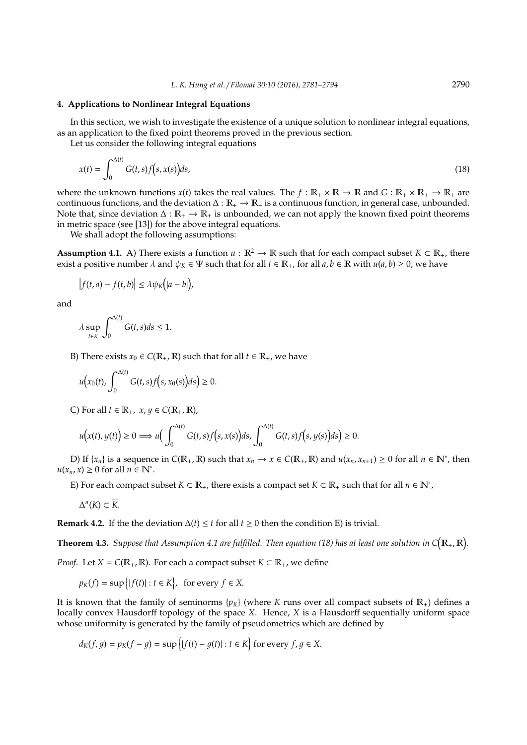## **4. Applications to Nonlinear Integral Equations**

In this section, we wish to investigate the existence of a unique solution to nonlinear integral equations, as an application to the fixed point theorems proved in the previous section.

Let us consider the following integral equations

$$
x(t) = \int_0^{\Delta(t)} G(t,s)f(s,x(s))ds,
$$
\n(18)

where the unknown functions  $x(t)$  takes the real values. The  $f : \mathbb{R}_+ \times \mathbb{R} \to \mathbb{R}$  and  $G : \mathbb{R}_+ \times \mathbb{R}_+ \to \mathbb{R}_+$  are continuous functions, and the deviation  $\Delta : \mathbb{R}_+ \to \mathbb{R}_+$  is a continuous function, in general case, unbounded. Note that, since deviation  $\Delta : \mathbb{R}_+ \to \mathbb{R}_+$  is unbounded, we can not apply the known fixed point theorems in metric space (see [13]) for the above integral equations.

We shall adopt the following assumptions:

**Assumption 4.1.** A) There exists a function  $u : \mathbb{R}^2 \to \mathbb{R}$  such that for each compact subset  $K \subset \mathbb{R}_+$ , there exist a positive number  $\lambda$  and  $\psi_K \in \Psi$  such that for all  $t \in \mathbb{R}_+$ , for all  $a, b \in \mathbb{R}$  with  $u(a, b) \ge 0$ , we have

$$
\big|f(t,a)-f(t,b)\big|\leq \lambda \psi_K\big(|a-b|\big),
$$

and

$$
\lambda \sup_{t \in K} \int_0^{\Delta(t)} G(t, s) ds \le 1.
$$

B) There exists  $x_0 \in C(\mathbb{R}_+, \mathbb{R})$  such that for all  $t \in \mathbb{R}_+$ , we have

$$
u(x_0(t), \int_0^{\Delta(t)} G(t,s)f(s,x_0(s))ds\big)\geq 0.
$$

C) For all  $t \in \mathbb{R}_+$ ,  $x, y \in C(\mathbb{R}_+, \mathbb{R})$ ,

$$
u(x(t), y(t)) \ge 0 \Longrightarrow u\big(\int_0^{\Delta(t)} G(t,s)f\big(s,x(s)\big)ds, \int_0^{\Delta(t)} G(t,s)f\big(s,y(s)\big)ds\big) \ge 0.
$$

D) If  $\{x_n\}$  is a sequence in  $C(\mathbb{R}_+, \mathbb{R})$  such that  $x_n \to x \in C(\mathbb{R}_+, \mathbb{R})$  and  $u(x_n, x_{n+1}) \ge 0$  for all  $n \in \mathbb{N}^*$ , then  $u(x_n, x) \geq 0$  for all  $n \in \mathbb{N}^*$ .

E) For each compact subset  $K \subset \mathbb{R}_+$ , there exists a compact set  $\overline{K} \subset \mathbb{R}_+$  such that for all  $n \in \mathbb{N}^*$ ,

$$
\Delta^n(K) \subset \overline{K}.
$$

**Remark 4.2.** If the the deviation  $\Delta(t) \leq t$  for all  $t \geq 0$  then the condition E) is trivial.

**Theorem 4.3.** Suppose that Assumption 4.1 are fulfilled. Then equation (18) has at least one solution in  $C(\mathbb{R}_+,\mathbb{R})$ .

*Proof.* Let *X* = *C*( $\mathbb{R}_+$ ,  $\mathbb{R}$ ). For each a compact subset *K*  $\subset \mathbb{R}_+$ , we define

$$
p_K(f) = \sup\{|f(t)| : t \in K\}, \text{ for every } f \in X.
$$

It is known that the family of seminorms  $\{p_K\}$  (where *K* runs over all compact subsets of  $\mathbb{R}_+$ ) defines a locally convex Hausdorff topology of the space *X*. Hence, *X* is a Hausdorff sequentially uniform space whose uniformity is generated by the family of pseudometrics which are defined by

$$
d_K(f,g) = p_K(f-g) = \sup \{ |f(t) - g(t)| : t \in K \} \text{ for every } f, g \in X.
$$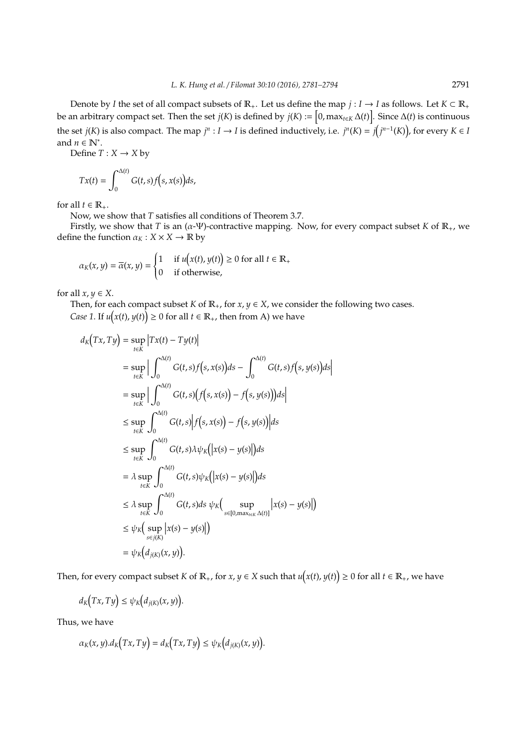Denote by *I* the set of all compact subsets of  $\mathbb{R}_+$ . Let us define the map *j* : *I* → *I* as follows. Let  $K \subset \mathbb{R}_+$ be an arbitrary compact set. Then the set *j*(*K*) is defined by *j*(*K*) := h 0, max*t*∈*<sup>K</sup>* ∆(*t*) i . Since ∆(*t*) is continuous the set  $j(K)$  is also compact. The map  $j^n : I \to I$  is defined inductively, i.e.  $j^n(K) = j(j^{n-1}(K))$ , for every  $K \in I$ and  $n \in \mathbb{N}^*$ .

Define  $T: X \rightarrow X$  by

$$
Tx(t) = \int_0^{\Delta(t)} G(t,s)f(s,x(s))ds,
$$

for all  $t \in \mathbb{R}_+$ .

Now, we show that *T* satisfies all conditions of Theorem 3.7.

Firstly, we show that *T* is an ( $\alpha$ -Ψ)-contractive mapping. Now, for every compact subset *K* of  $\mathbb{R}_+$ , we define the function  $\alpha_K : X \times X \to \mathbb{R}$  by

$$
\alpha_K(x, y) = \overline{\alpha}(x, y) = \begin{cases} 1 & \text{if } u(x(t), y(t)) \ge 0 \text{ for all } t \in \mathbb{R}_+ \\ 0 & \text{if otherwise,} \end{cases}
$$

for all  $x, y \in X$ .

Then, for each compact subset *K* of  $\mathbb{R}_+$ , for  $x, y \in X$ , we consider the following two cases. *Case 1*. If  $u(x(t), y(t)) \ge 0$  for all  $t \in \mathbb{R}_+$ , then from A) we have

$$
d_K(Tx, Ty) = \sup_{t \in K} |Tx(t) - Ty(t)|
$$
  
\n
$$
= \sup_{t \in K} \left| \int_0^{\Delta(t)} G(t,s)f(s,x(s))ds - \int_0^{\Delta(t)} G(t,s)f(s,y(s))ds \right|
$$
  
\n
$$
= \sup_{t \in K} \left| \int_0^{\Delta(t)} G(t,s)\left(f(s,x(s)) - f(s,y(s))\right)ds \right|
$$
  
\n
$$
\leq \sup_{t \in K} \int_0^{\Delta(t)} G(t,s)|f(s,x(s)) - f(s,y(s))|ds
$$
  
\n
$$
\leq \sup_{t \in K} \int_0^{\Delta(t)} G(t,s)\lambda \psi_K(|x(s) - y(s)|)ds
$$
  
\n
$$
= \lambda \sup_{t \in K} \int_0^{\Delta(t)} G(t,s) \psi_K(|x(s) - y(s)|)ds
$$
  
\n
$$
\leq \lambda \sup_{t \in K} \int_0^{\Delta(t)} G(t,s)ds \psi_K\left( \sup_{s \in [0, \max_{t \in K} \Delta(t)]} |x(s) - y(s)| \right)
$$
  
\n
$$
\leq \psi_K\left( \sup_{s \in j(K)} |x(s) - y(s)| \right)
$$
  
\n
$$
= \psi_K\left( d_{j(K)}(x,y) \right).
$$

Then, for every compact subset *K* of  $\mathbb{R}_+$ , for  $x, y \in X$  such that  $u(x(t), y(t)) \ge 0$  for all  $t \in \mathbb{R}_+$ , we have

$$
d_K\bigl(Tx,Ty\bigr)\leq \psi_K\bigl(d_{j(K)}(x,y)\bigr).
$$

Thus, we have

$$
\alpha_K(x,y).d_K\big(Tx,Ty\big)=d_K\big(Tx,Ty\big)\leq \psi_K\big(d_{j(K)}(x,y)\big).
$$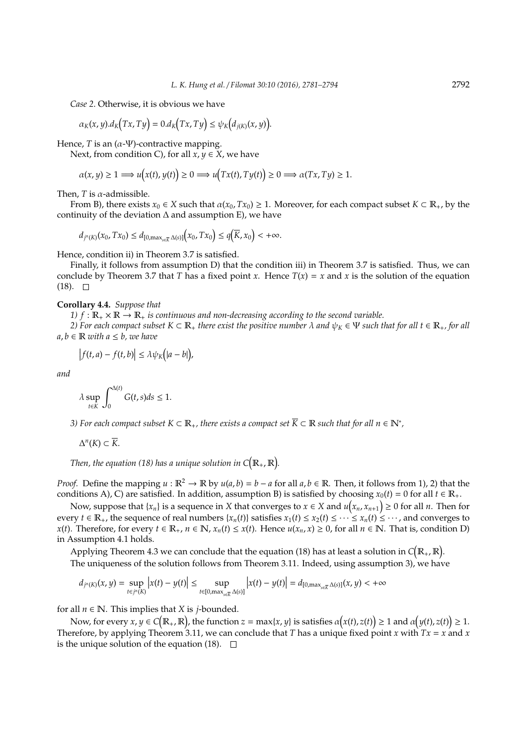*Case 2*. Otherwise, it is obvious we have

$$
\alpha_K(x,y).d_K(Tx,Ty)=0.d_K(Tx,Ty)\leq \psi_K\big(d_{j(K)}(x,y)\big).
$$

Hence, *T* is an  $(\alpha-\Psi)$ -contractive mapping.

Next, from condition C), for all  $x, y \in X$ , we have

$$
\alpha(x, y) \ge 1 \Longrightarrow u(x(t), y(t)) \ge 0 \Longrightarrow u(Tx(t), Ty(t)) \ge 0 \Longrightarrow \alpha(Tx, Ty) \ge 1.
$$

Then,  $T$  is  $\alpha$ -admissible.

From B), there exists  $x_0 \in X$  such that  $\alpha(x_0, Tx_0) \ge 1$ . Moreover, for each compact subset  $K \subset \mathbb{R}_+$ , by the continuity of the deviation  $\Delta$  and assumption E), we have

$$
d_{j^n(K)}(x_0,Tx_0)\leq d_{[0,\max_{s\in\overline{K}}\Delta(s)]}\big(x_0,Tx_0\big)\leq q\big(\overline{K},x_0\big)<+\infty.
$$

Hence, condition ii) in Theorem 3.7 is satisfied.

Finally, it follows from assumption D) that the condition iii) in Theorem 3.7 is satisfied. Thus, we can conclude by Theorem 3.7 that *T* has a fixed point *x*. Hence  $T(x) = x$  and *x* is the solution of the equation  $(18)$ .  $\Box$ 

## **Corollary 4.4.** *Suppose that*

*1)*  $f: \mathbb{R}_+ \times \mathbb{R} \to \mathbb{R}_+$  *is continuous and non-decreasing according to the second variable.* 

*2)* For each compact subset  $K \subset \mathbb{R}_+$  there exist the positive number  $\lambda$  and  $\psi_K \in \Psi$  such that for all  $t \in \mathbb{R}_+$ , for all  $a, b \in \mathbb{R}$  *with*  $a \leq b$ *, we have* 

$$
\big|f(t,a)-f(t,b)\big|\leq \lambda \psi_K\big(|a-b|\big),
$$

*and*

 $\sim$ 

$$
\lambda \sup_{t \in K} \int_0^{\Delta(t)} G(t, s) ds \le 1.
$$

*3) For each compact subset K* ⊂  $\mathbb{R}_+$ *, there exists a compact set*  $\overline{K}$  ⊂  $\mathbb{R}$  *such that for all n* ∈  $\mathbb{N}^*$ *,* 

$$
\Delta^n(K)\subset \overline{K}.
$$

Then, the equation (18) has a unique solution in  $C(\mathbb{R}_+,\mathbb{R})$ .

*Proof.* Define the mapping  $u : \mathbb{R}^2 \to \mathbb{R}$  by  $u(a, b) = b - a$  for all  $a, b \in \mathbb{R}$ . Then, it follows from 1), 2) that the conditions A), C) are satisfied. In addition, assumption B) is satisfied by choosing  $x_0(t) = 0$  for all  $t \in \mathbb{R}_+$ .

Now, suppose that  $\{x_n\}$  is a sequence in  $X$  that converges to  $x \in X$  and  $u(x_n, x_{n+1}) \geq 0$  for all  $n$ . Then for every  $t \in \mathbb{R}_+$ , the sequence of real numbers  $\{x_n(t)\}$  satisfies  $x_1(t) \le x_2(t) \le \cdots \le x_n(t) \le \cdots$ , and converges to *x*(*t*). Therefore, for every *t* ∈  $\mathbb{R}_+$ , *n* ∈  $\mathbb{N}$ , *x<sub>n</sub>*(*t*) ≤ *x*(*t*). Hence *u*(*x<sub>n</sub>*, *x*) ≥ 0, for all *n* ∈  $\mathbb{N}$ . That is, condition D) in Assumption 4.1 holds.

Applying Theorem 4.3 we can conclude that the equation (18) has at least a solution in  $C(\mathbb{R}_+,\mathbb{R})$ . The uniqueness of the solution follows from Theorem 3.11. Indeed, using assumption 3), we have

$$
d_{j^n(K)}(x,y)=\sup_{t\in j^n(K)}\big|x(t)-y(t)\big|\leq \sup_{t\in [0,\max_{s\in\overline{K}}\Delta(s)]}\big|x(t)-y(t)\big|=d_{[0,\max_{s\in\overline{K}}\Delta(s)]}(x,y)<+\infty
$$

for all  $n \in \mathbb{N}$ . This implies that *X* is *j*-bounded.

Now, for every  $x, y \in C(\mathbb{R}_+, \mathbb{R})$ , the function  $z = \max\{x, y\}$  is satisfies  $\alpha(x(t), z(t)) \ge 1$  and  $\alpha(y(t), z(t)) \ge 1$ . Therefore, by applying Theorem 3.11, we can conclude that *T* has a unique fixed point *x* with  $Tx = x$  and *x* is the unique solution of the equation (18).  $\Box$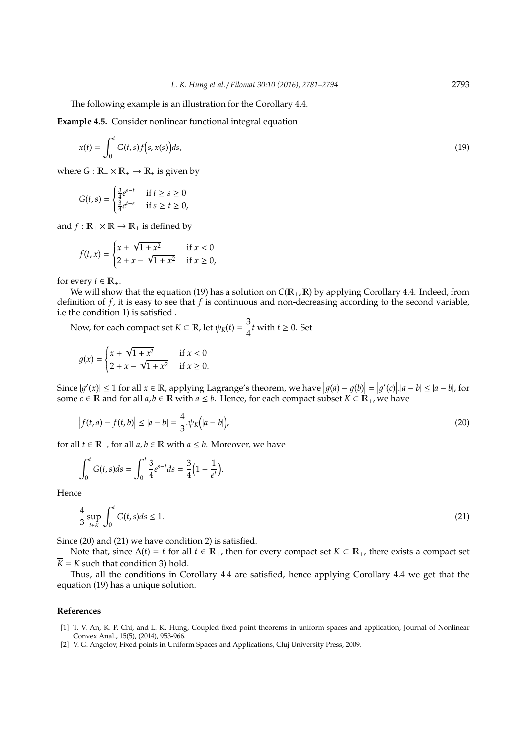The following example is an illustration for the Corollary 4.4.

**Example 4.5.** Consider nonlinear functional integral equation

$$
x(t) = \int_0^t G(t,s)f(s,x(s))ds,\tag{19}
$$

where  $G : \mathbb{R}_+ \times \mathbb{R}_+ \to \mathbb{R}_+$  is given by

$$
G(t,s) = \begin{cases} \frac{3}{4}e^{s-t} & \text{if } t \ge s \ge 0\\ \frac{3}{4}e^{t-s} & \text{if } s \ge t \ge 0, \end{cases}
$$

and  $f : \mathbb{R}_+ \times \mathbb{R} \to \mathbb{R}_+$  is defined by

$$
f(t, x) = \begin{cases} x + \sqrt{1 + x^2} & \text{if } x < 0\\ 2 + x - \sqrt{1 + x^2} & \text{if } x \ge 0, \end{cases}
$$

for every  $t \in \mathbb{R}_+$ .

We will show that the equation (19) has a solution on  $C(\mathbb{R}_+, \mathbb{R})$  by applying Corollary 4.4. Indeed, from definition of *f*, it is easy to see that *f* is continuous and non-decreasing according to the second variable, i.e the condition 1) is satisfied .

Now, for each compact set  $K \subset \mathbb{R}$ , let  $\psi_K(t) = \frac{3}{4}$  $\frac{3}{4}$ *t* with *t*  $\geq$  0. Set √

$$
g(x) = \begin{cases} x + \sqrt{1 + x^2} & \text{if } x < 0 \\ 2 + x - \sqrt{1 + x^2} & \text{if } x \ge 0. \end{cases}
$$

Since  $|g'(x)| \le 1$  for all  $x \in \mathbb{R}$ , applying Lagrange's theorem, we have  $|g(a) - g(b)| = |g'(c)| \cdot |a - b| \le |a - b|$ , for some *c* ∈ R and for all *a*, *b* ∈ R with *a* ≤ *b*. Hence, for each compact subset  $K \subset \mathbb{R}_+$ , we have

$$
\left| f(t, a) - f(t, b) \right| \le |a - b| = \frac{4}{3} \psi_K (|a - b|), \tag{20}
$$

for all  $t \in \mathbb{R}_+$ , for all  $a, b \in \mathbb{R}$  with  $a \leq b$ . Moreover, we have

$$
\int_0^t G(t,s)ds = \int_0^t \frac{3}{4}e^{s-t}ds = \frac{3}{4}\Big(1-\frac{1}{e^t}\Big).
$$

Hence

$$
\frac{4}{3}\sup_{t\in K}\int_0^t G(t,s)ds\le 1.\tag{21}
$$

Since (20) and (21) we have condition 2) is satisfied.

Note that, since ∆(*t*) = *t* for all *t* ∈ R+, then for every compact set *K* ⊂ R+, there exists a compact set  $\overline{K}$  = *K* such that condition 3) hold.

Thus, all the conditions in Corollary 4.4 are satisfied, hence applying Corollary 4.4 we get that the equation (19) has a unique solution.

#### **References**

- [1] T. V. An, K. P. Chi, and L. K. Hung, Coupled fixed point theorems in uniform spaces and application, Journal of Nonlinear Convex Anal., 15(5), (2014), 953-966.
- [2] V. G. Angelov, Fixed points in Uniform Spaces and Applications, Cluj University Press, 2009.